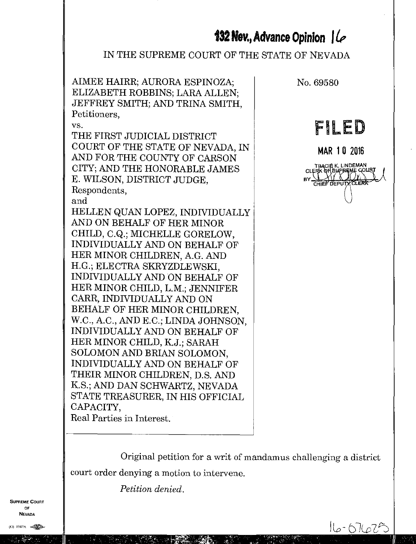# **132 Nev., Advance Opinion**  $| \mathcal{L} \rangle$

## IN THE SUPREME COURT OF THE STATE OF NEVADA

AIMEE HAIRR; AURORA ESPINOZA; No. 69580 ELIZABETH ROBBINS; LARA ALLEN; JEFFREY SMITH; AND TRINA SMITH, Petitioners,

vs.

THE FIRST JUDICIAL DISTRICT COURT OF THE STATE OF NEVADA, IN AND FOR THE COUNTY OF CARSON CITY; AND THE HONORABLE JAMES E. WILSON, DISTRICT JUDGE, Respondents,

and

HELLEN QUAN LOPEZ, INDIVIDUALLY AND ON BEHALF OF HER MINOR CHILD, C.Q.; MICHELLE GORELOW, INDIVIDUALLY AND ON BEHALF OF HER MINOR CHILDREN, A.G. AND H.G.; ELECTRA SKRYZDLEWSKI, INDIVIDUALLY AND ON BEHALF OF HER MINOR CHILD, L.M.; JENNIFER CARR, INDIVIDUALLY AND ON BEHALF OF HER MINOR CHILDREN, W.C., A.C., AND E.C.; LINDA JOHNSON, INDIVIDUALLY AND ON BEHALF OF HER MINOR CHILD, K.J.; SARAH SOLOMON AND BRIAN SOLOMON, INDIVIDUALLY AND ON BEHALF OF THEIR MINOR CHILDREN, D.S. AND K.S.; AND DAN SCHWARTZ, NEVADA STATE TREASURER, IN HIS OFFICIAL CAPACITY, Real Parties in Interest.

FILED

MAR 1 0 2016 DY. **THACILIS, LINDEMAN<br>CLERK OF SUPREME COL** CHIEF DEPU

Original petition for a writ of mandamus challenging a district court order denying a motion to intervene.

*Petition denied.*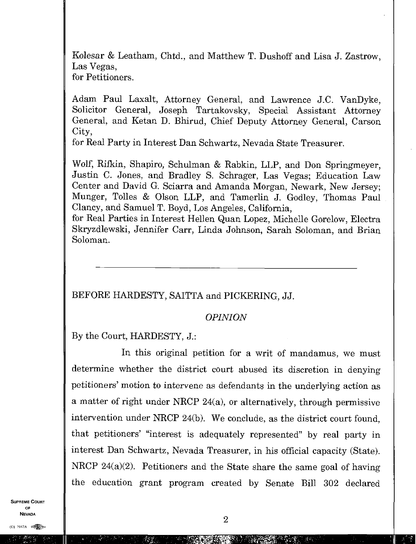Kolesar & Leatham, Chtd., and Matthew T. Dushoff and Lisa J. Zastrow, Las Vegas, for Petitioners.

Adam Paul Laxalt, Attorney General, and Lawrence J.C. VanDyke, Solicitor General, Joseph Tartakovsky, Special Assistant Attorney General, and Ketan D. Bhirud, Chief Deputy Attorney General, Carson City,

for Real Party in Interest Dan Schwartz, Nevada State Treasurer.

Wolf, Rifkin, Shapiro, Schulman & Rabkin, LLP, and Don Springmeyer, Justin C. Jones, and Bradley S. Schrager, Las Vegas; Education Law Center and David G. Sciarra and Amanda Morgan, Newark, New Jersey; Munger, ToIles & Olson LLP, and Tamerlin J. Godley, Thomas Paul Clancy, and Samuel T. Boyd, Los Angeles, California,

for Real Parties in Interest Hellen Quan Lopez, Michelle Gorelow, Electra Skryzdlewski, Jennifer Carr, Linda Johnson, Sarah Soloman, and Brian Soloman.

## BEFORE HARDESTY, SAITTA and PICKERING, JJ.

#### *OPINION*

By the Court, HARDESTY, J.:

In this original petition for a writ of mandamus, we must determine whether the district court abused its discretion in denying petitioners' motion to intervene as defendants in the underlying action as a matter of right under NRCP 24(a), or alternatively, through permissive intervention under NRCP 24(b). We conclude, as the district court found, that petitioners' "interest is adequately represented" by real party in interest Dan Schwartz, Nevada Treasurer, in his official capacity (State). NRCP 24(a)(2). Petitioners and the State share the same goal of having the education grant program created by Senate Bill 302 declared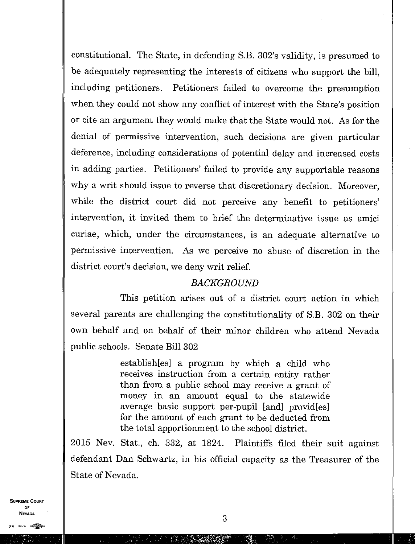constitutional. The State, in defending S.B. 302's validity, is presumed to be adequately representing the interests of citizens who support the bill, including petitioners. Petitioners failed to overcome the presumption when they could not show any conflict of interest with the State's position or cite an argument they would make that the State would not. As for the denial of permissive intervention, such decisions are given particular deference, including considerations of potential delay and increased costs in adding parties. Petitioners' failed to provide any supportable reasons why a writ should issue to reverse that discretionary decision. Moreover, while the district court did not perceive any benefit to petitioners' intervention, it invited them to brief the determinative issue as amici curiae, which, under the circumstances, is an adequate alternative to permissive intervention. As we perceive no abuse of discretion in the district court's decision, we deny writ relief.

#### *BACKGROUND*

This petition arises out of a district court action in which several parents are challenging the constitutionality of S.B. 302 on their own behalf and on behalf of their minor children who attend Nevada public schools. Senate Bill 302

> establish[es] a program by which a child who receives instruction from a certain entity rather than from a public school may receive a grant of money in an amount equal to the statewide average basic support per-pupil [and] provid[es] for the amount of each grant to be deducted from the total apportionment to the school district.

2015 Nev. Stat., ch. 332, at 1824. Plaintiffs filed their suit against defendant Dan Schwartz, in his official capacity as the Treasurer of the State of Nevada.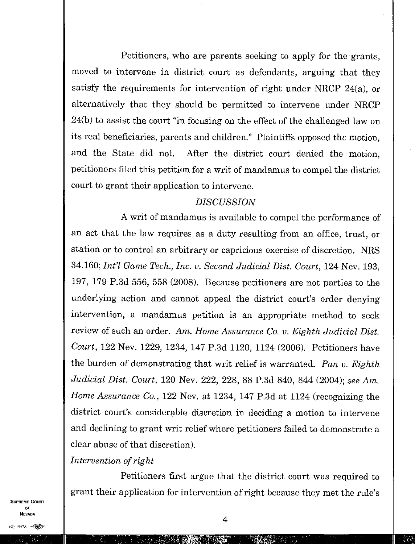Petitioners, who are parents seeking to apply for the grants, moved to intervene in district court as defendants, arguing that they satisfy the requirements for intervention of right under NRCP 24(a), or alternatively that they should be permitted to intervene under NRCP 24(b) to assist the court "in focusing on the effect of the challenged law on its real beneficiaries, parents and children." Plaintiffs opposed the motion, and the State did not. After the district court denied the motion, petitioners filed this petition for a writ of mandamus to compel the district court to grant their application to intervene.

#### *DISCUSSION*

A writ of mandamus is available to compel the performance of an act that the law requires as a duty resulting from an office, trust, or station or to control an arbitrary or capricious exercise of discretion. NRS 34.160; *Int? Game Tech., Inc. v. Second Judicial Dist. Court,* 124 Nev. 193, 197, 179 P.3d 556, 558 (2008). Because petitioners are not parties to the underlying action and cannot appeal the district court's order denying intervention, a mandamus petition is an appropriate method to seek review of such an order. Am. *Home Assurance Co. v. Eighth Judicial Dist, Court,* 122 Nev. 1229, 1234, 147 P.3d 1120, 1124 (2006). Petitioners have the burden of demonstrating that writ relief is warranted. *Pan v. Eighth Judicial Dist. Court,* 120 Nev. 222, 228, 88 P.3d 840, 844 (2004); *see* Am. *Home Assurance Co.,* 122 Nev. at 1234, 147 P.3d at 1124 (recognizing the district court's considerable discretion in deciding a motion to intervene and declining to grant writ relief where petitioners failed to demonstrate a clear abuse of that discretion).

## *Intervention of right*

Petitioners first argue that the district court was required to grant their application for intervention of right because they met the rule's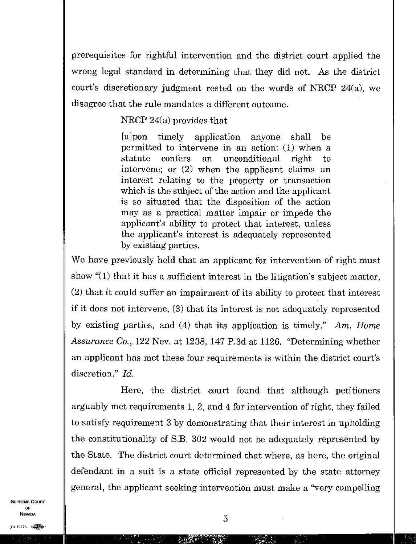prerequisites for rightful intervention and the district court applied the wrong legal standard in determining that they did not. As the district court's discretionary judgment rested on the words of NRCP 24(a), we disagree that the rule mandates a different outcome.

### NRCP 24(a) provides that

[u]pon timely application anyone shall be permitted to intervene in an action: (1) when a statute confers an unconditional right to intervene; or (2) when the applicant claims an interest relating to the property or transaction which is the subject of the action and the applicant is so situated that the disposition of the action may as a practical matter impair or impede the applicant's ability to protect that interest, unless the applicant's interest is adequately represented by existing parties.

We have previously held that an applicant for intervention of right must show "(1) that it has a sufficient interest in the litigation's subject matter, (2) that it could suffer an impairment of its ability to protect that interest if it does not intervene, (3) that its interest is not adequately represented by existing parties, and (4) that its application is timely." Am. *Home Assurance Co.,* 122 Nev. at 1238, 147 P.3d at 1126. "Determining whether an applicant has met these four requirements is within the district court's discretion." *Id.* 

Here, the district court found that although petitioners arguably met requirements 1, 2, and 4 for intervention of right, they failed to satisfy requirement 3 by demonstrating that their interest in upholding the constitutionality of S.B. 302 would not be adequately represented by the State. The district court determined that where, as here, the original defendant in a suit is a state official represented by the state attorney general, the applicant seeking intervention must make a "very compelling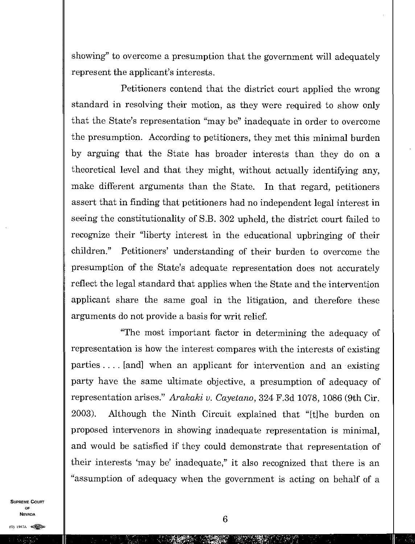showing" to overcome a presumption that the government will adequately represent the applicant's interests.

Petitioners contend that the district court applied the wrong standard in resolving their motion, as they were required to show only that the State's representation "may be" inadequate in order to overcome the presumption. According to petitioners, they met this minimal burden by arguing that the State has broader interests than they do on a theoretical level and that they might, without actually identifying any, make different arguments than the State. In that regard, petitioners assert that in finding that petitioners had no independent legal interest in seeing the constitutionality of S.B. 302 upheld, the district court failed to recognize their "liberty interest in the educational upbringing of their children." Petitioners' understanding of their burden to overcome the presumption of the State's adequate representation does not accurately reflect the legal standard that applies when the State and the intervention applicant share the same goal in the litigation, and therefore these arguments do not provide a basis for writ relief.

"The most important factor in determining the adequacy of representation is how the interest compares with the interests of existing parties . . . . [and] when an applicant for intervention and an existing party have the same ultimate objective, a presumption of adequacy of representation arises." *Arakaki v. Cayetano,* 324 F.3d 1078, 1086 (9th Cir. 2003). Although the Ninth Circuit explained that "[t]he burden on proposed intervenors in showing inadequate representation is minimal, and would be satisfied if they could demonstrate that representation of their interests 'may be' inadequate," it also recognized that there is an "assumption of adequacy when the government is acting on behalf of a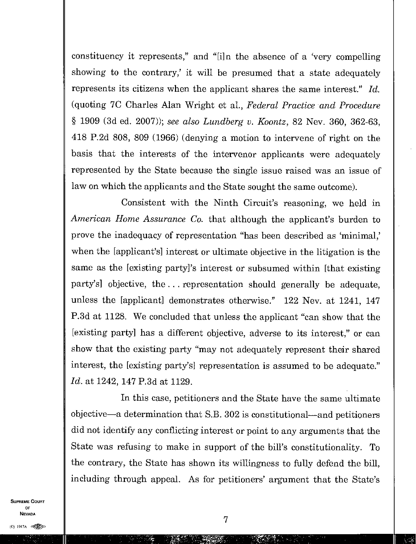constituency it represents," and "[i]n the absence of a 'very compelling showing to the contrary,' it will be presumed that a state adequately represents its citizens when the applicant shares the same interest." *Id.*  (quoting 7C Charles Alan Wright et al., *Federal Practice and Procedure*  § 1909 (3d ed. 2007)); *see also Lundberg v. Koontz,* 82 Nev. 360, 362-63, 418 P.2d 808, 809 (1966) (denying a motion to intervene of right on the basis that the interests of the intervenor applicants were adequately represented by the State because the single issue raised was an issue of law on which the applicants and the State sought the same outcome).

Consistent with the Ninth Circuit's reasoning, we held in *American Home Assurance Co.* that although the applicant's burden to prove the inadequacy of representation "has been described as 'minimal,' when the [applicant's] interest or ultimate objective in the litigation is the same as the [existing party]'s interest or subsumed within [that existing party's] objective, the . . . representation should generally be adequate, unless the [applicant] demonstrates otherwise." 122 Nev. at 1241, 147 P.3d at 1128. We concluded that unless the applicant "can show that the [existing party] has a different objective, adverse to its interest," or can show that the existing party "may not adequately represent their shared interest, the [existing party's] representation is assumed to be adequate." *Id.* at 1242, 147 P.3d at 1129.

In this case, petitioners and the State have the same ultimate objective—a determination that S.B. 302 is constitutional—and petitioners did not identify any conflicting interest or point to any arguments that the State was refusing to make in support of the bill's constitutionality. To the contrary, the State has shown its willingness to fully defend the bill, including through appeal. As for petitioners' argument that the State's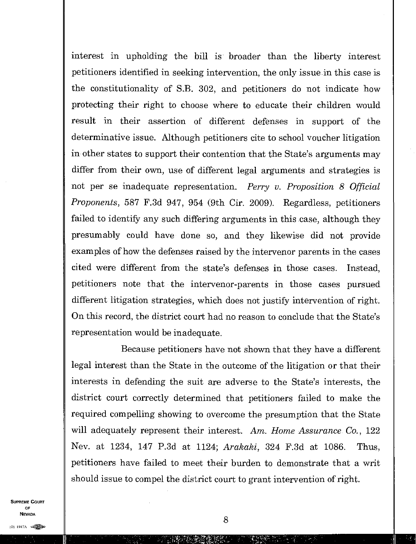interest in upholding the bill is broader than the liberty interest petitioners identified in seeking intervention, the only issue in this case is the constitutionality of S.B. 302, and petitioners do not indicate how protecting their right to choose where to educate their children would result in their assertion of different defenses in support of the determinative issue. Although petitioners cite to school voucher litigation in other states to support their contention that the State's arguments may differ from their own, use of different legal arguments and strategies is not per se inadequate representation. *Perry v. Proposition 8 Official Proponents,* 587 F.3d 947, 954 (9th Cir. 2009). Regardless, petitioners failed to identify any such differing arguments in this case, although they presumably could have done so, and they likewise did not provide examples of how the defenses raised by the intervenor parents in the cases cited were different from the state's defenses in those cases. Instead, petitioners note that the intervenor-parents in those cases pursued different litigation strategies, which does not justify intervention of right. On this record, the district court had no reason to conclude that the State's representation would be inadequate.

Because petitioners have not shown that they have a different legal interest than the State in the outcome of the litigation or that their interests in defending the suit are adverse to the State's interests, the district court correctly determined that petitioners failed to make the required compelling showing to overcome the presumption that the State will adequately represent their interest. Am. *Home Assurance Co.,* 122 Nev. at 1234, 147 P.3d at 1124; *Arakaki,* 324 F.3d at 1086. Thus, petitioners have failed to meet their burden to demonstrate that a writ should issue to compel the district court to grant intervention of right.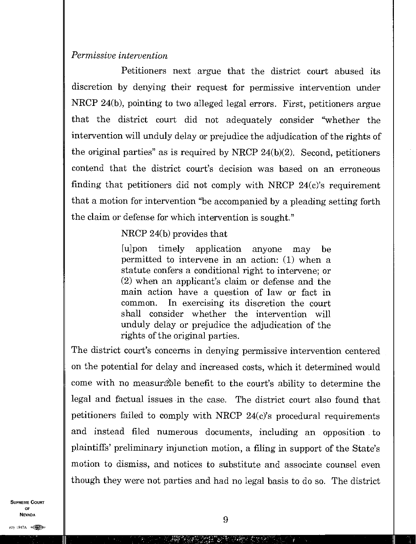### *Permissive intervention*

Petitioners next argue that the district court abused its discretion by denying their request for permissive intervention under NRCP 24(b), pointing to two alleged legal errors. First, petitioners argue that the district court did not adequately consider "whether the intervention will unduly delay or prejudice the adjudication of the rights of the original parties" as is required by NRCP 24(b)(2). Second, petitioners contend that the district court's decision was based on an erroneous finding that petitioners did not comply with NRCP  $24(c)$ 's requirement that a motion for intervention "be accompanied by a pleading setting forth the claim or defense for which intervention is sought."

## NRCP 24(b) provides that

[u]pon timely application anyone may be permitted to intervene in an action: (1) when a statute confers a conditional right to intervene; or (2) when an applicant's claim or defense and the main action have a question of law or fact in common. In exercising its discretion the court shall consider whether the intervention will unduly delay or prejudice the adjudication of the rights of the original parties.

The district court's concerns in denying permissive intervention centered on the potential for delay and increased costs, which it determined would come with no measurable benefit to the court's ability to determine the legal and factual issues in the case. The district court also found that petitioners failed to comply with NRCP 24(c)'s procedural requirements and instead filed numerous documents, including an opposition to plaintiffs' preliminary injunction motion, a filing in support of the State's motion to dismiss, and notices to substitute and associate counsel even though they were not parties and had no legal basis to do so. The district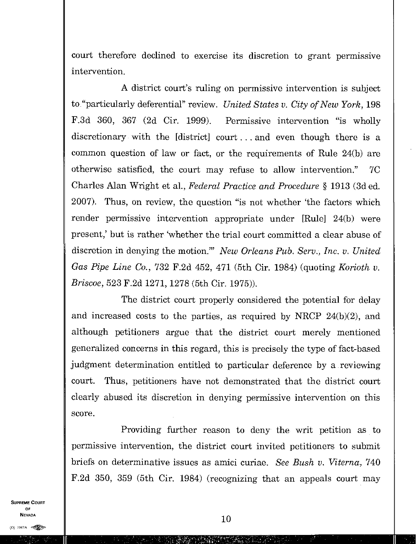court therefore declined to exercise its discretion to grant permissive intervention.

A district court's ruling on permissive intervention is subject to "particularly deferential" review. *United States v. City of New York,* 198 F.3d 360, 367 (2d Cir. 1999). Permissive intervention "is wholly discretionary with the [district] court. . . and even though there is a common question of law or fact, or the requirements of Rule 24(b) are otherwise satisfied, the court may refuse to allow intervention." 7C Charles Alan Wright et al., *Federal Practice and Procedure §* 1913 (3d ed. 2007). Thus, on review, the question "is not whether 'the factors which render permissive intervention appropriate under [Rule] 24(b) were present,' but is rather 'whether the trial court committed a clear abuse of discretion in denying the motion?" *New Orleans Pub. Serv., Inc. v. United Gas Pipe Line Co.,* 732 F.2d 452, 471 (5th Cir. 1984) (quoting *Korioth v. Briscoe,* 523 F.2d 1271, 1278 (5th Cir. 1975)).

The district court properly considered the potential for delay and increased costs to the parties, as required by NRCP 24(b)(2), and although petitioners argue that the district court merely mentioned generalized concerns in this regard, this is precisely the type of fact-based judgment determination entitled to particular deference by a reviewing court. Thus, petitioners have not demonstrated that the district court clearly abused its discretion in denying permissive intervention on this score.

Providing further reason to deny the writ petition as to permissive intervention, the district court invited petitioners to submit briefs on determinative issues as amici curiae. *See Bush v. Viterna,* 740 F.2d 350, 359 (5th Cir. 1984) (recognizing that an appeals court may

SUPREME COURT OF  $\blacksquare$ NEVADA<br>(0) 1947A elements